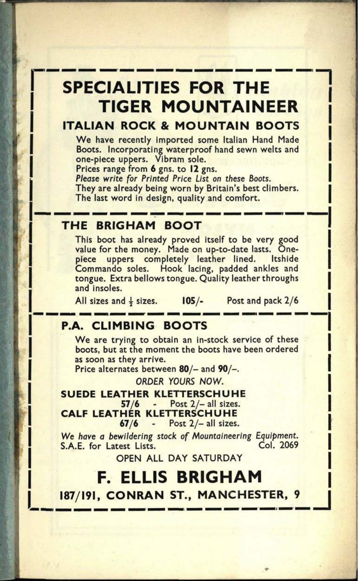# **SPECIALITIES FOR THE TIGER MOUNTAINEER**

## **ITALIAN ROCK & MOUNTAIN BOOTS**

We have recently imported some Italian Hand Made Boots. Incorporating waterproof hand sewn welts and one-piece uppers. Vibram sole.

Prices range from 6 gns. to 12 gns.

Please write for Printed Price List on these Boots. They are already being worn by Britain's best climbers. The last word in design, quality and comfort.

#### **THE BRIGHAM BOOT**

This boot has already proved itself to be very good value for the money. Made on up-to-date lasts. Onepiece uppers completely leather lined. Itshide Commando soles. Hook lacing, padded ankles and tongue. Extra bellows tongue. Quality leather throughs and insoles.

All sizes and  $\frac{1}{2}$  sizes. **I05/-** Post and pack  $2/6$ 

## **P.A. CLIMBING BOOTS**

We are trying to obtain an in-stock service of these boots, but at the moment the boots have been ordered as soon as they arrive.

Price alternates between 80/- and 90/-.

ORDER YOURS NOW.

**SUEDE LEATHER KLETTERSCHUHE** 57/6 - Post 2/- all sizes. **CALF LEATHER KLETTERSCHUHE** 67/6 - Post 2/- all sizes.

We have a bewildering stock of Mountaineering Equipment.<br>S.A.F. for Latest Lists. (Col. 2069) S.A.E. for Latest Lists.

OPEN ALL DAY SATURDAY

**F. ELLIS BRIGHAM 187/191, CONRAN ST., MANCHESTER, 9 I**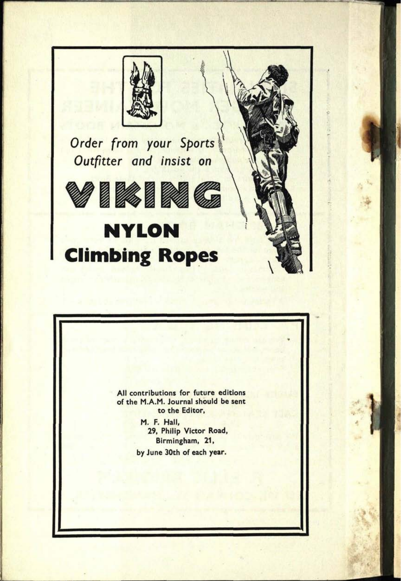

*Order from your* Sports *Outfitter and insist on*



# **NYLON Climbing Ropes** \